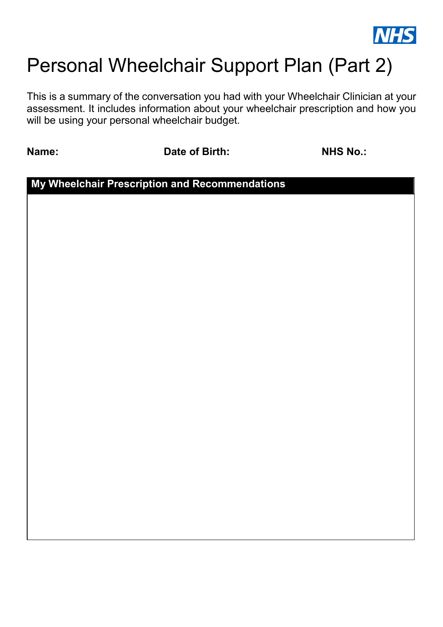

## Personal Wheelchair Support Plan (Part 2)

This is a summary of the conversation you had with your Wheelchair Clinician at your assessment. It includes information about your wheelchair prescription and how you will be using your personal wheelchair budget.

**Name: Date of Birth:** NHS No.:

**My Wheelchair Prescription and Recommendations**